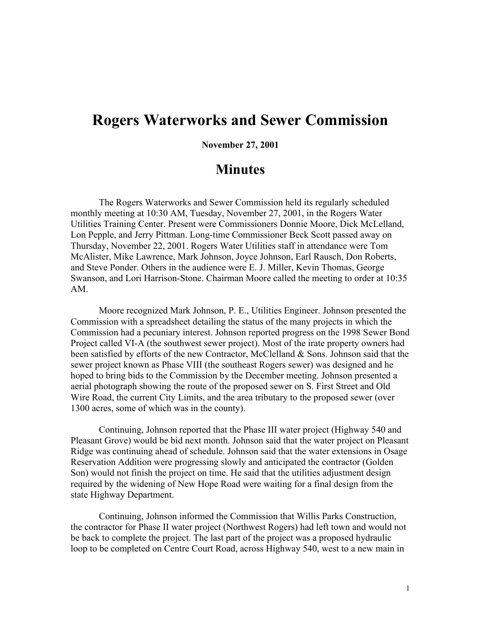## **Rogers Waterworks and Sewer Commission**

## **November 27, 2001**

## **Minutes**

The Rogers Waterworks and Sewer Commission held its regularly scheduled monthly meeting at 10:30 AM, Tuesday, November 27, 2001, in the Rogers Water Utilities Training Center. Present were Commissioners Donnie Moore, Dick McLelland, Lon Pepple, and Jerry Pittman. Long-time Commissioner Beck Scott passed away on Thursday, November 22, 2001. Rogers Water Utilities staff in attendance were Tom McAlister, Mike Lawrence, Mark Johnson, Joyce Johnson, Earl Rausch, Don Roberts, and Steve Ponder. Others in the audience were E. J. Miller, Kevin Thomas, George Swanson, and Lori Harrison-Stone. Chairman Moore called the meeting to order at 10:35 AM.

Moore recognized Mark Johnson, P. E., Utilities Engineer. Johnson presented the Commission with a spreadsheet detailing the status of the many projects in which the Commission had a pecuniary interest. Johnson reported progress on the 1998 Sewer Bond Project called VI-A (the southwest sewer project). Most of the irate property owners had been satisfied by efforts of the new Contractor, McClelland & Sons. Johnson said that the sewer project known as Phase VIII (the southeast Rogers sewer) was designed and he hoped to bring bids to the Commission by the December meeting. Johnson presented a aerial photograph showing the route of the proposed sewer on S. First Street and Old Wire Road, the current City Limits, and the area tributary to the proposed sewer (over 1300 acres, some of which was in the county).

Continuing, Johnson reported that the Phase III water project (Highway 540 and Pleasant Grove) would be bid next month. Johnson said that the water project on Pleasant Ridge was continuing ahead of schedule. Johnson said that the water extensions in Osage Reservation Addition were progressing slowly and anticipated the contractor (Golden Son) would not finish the project on time. He said that the utilities adjustment design required by the widening of New Hope Road were waiting for a final design from the state Highway Department.

Continuing, Johnson informed the Commission that Willis Parks Construction, the contractor for Phase II water project (Northwest Rogers) had left town and would not be back to complete the project. The last part of the project was a proposed hydraulic loop to be completed on Centre Court Road, across Highway 540, west to a new main in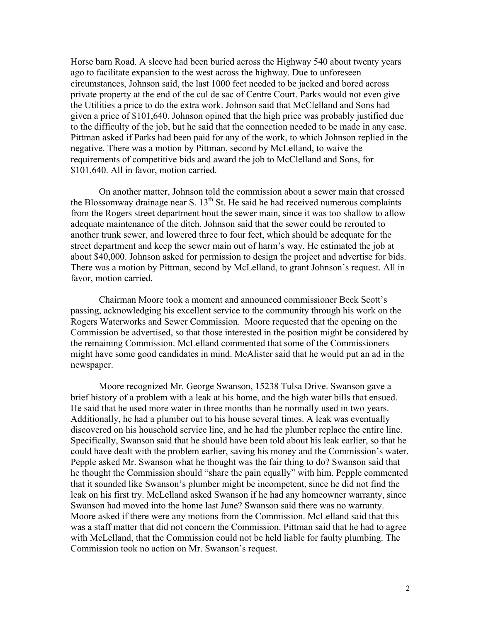Horse barn Road. A sleeve had been buried across the Highway 540 about twenty years ago to facilitate expansion to the west across the highway. Due to unforeseen circumstances, Johnson said, the last 1000 feet needed to be jacked and bored across private property at the end of the cul de sac of Centre Court. Parks would not even give the Utilities a price to do the extra work. Johnson said that McClelland and Sons had given a price of \$101,640. Johnson opined that the high price was probably justified due to the difficulty of the job, but he said that the connection needed to be made in any case. Pittman asked if Parks had been paid for any of the work, to which Johnson replied in the negative. There was a motion by Pittman, second by McLelland, to waive the requirements of competitive bids and award the job to McClelland and Sons, for \$101,640. All in favor, motion carried.

On another matter, Johnson told the commission about a sewer main that crossed the Blossomway drainage near S.  $13<sup>th</sup>$  St. He said he had received numerous complaints from the Rogers street department bout the sewer main, since it was too shallow to allow adequate maintenance of the ditch. Johnson said that the sewer could be rerouted to another trunk sewer, and lowered three to four feet, which should be adequate for the street department and keep the sewer main out of harm's way. He estimated the job at about \$40,000. Johnson asked for permission to design the project and advertise for bids. There was a motion by Pittman, second by McLelland, to grant Johnson's request. All in favor, motion carried.

Chairman Moore took a moment and announced commissioner Beck Scott's passing, acknowledging his excellent service to the community through his work on the Rogers Waterworks and Sewer Commission. Moore requested that the opening on the Commission be advertised, so that those interested in the position might be considered by the remaining Commission. McLelland commented that some of the Commissioners might have some good candidates in mind. McAlister said that he would put an ad in the newspaper.

Moore recognized Mr. George Swanson, 15238 Tulsa Drive. Swanson gave a brief history of a problem with a leak at his home, and the high water bills that ensued. He said that he used more water in three months than he normally used in two years. Additionally, he had a plumber out to his house several times. A leak was eventually discovered on his household service line, and he had the plumber replace the entire line. Specifically, Swanson said that he should have been told about his leak earlier, so that he could have dealt with the problem earlier, saving his money and the Commission's water. Pepple asked Mr. Swanson what he thought was the fair thing to do? Swanson said that he thought the Commission should "share the pain equally" with him. Pepple commented that it sounded like Swanson's plumber might be incompetent, since he did not find the leak on his first try. McLelland asked Swanson if he had any homeowner warranty, since Swanson had moved into the home last June? Swanson said there was no warranty. Moore asked if there were any motions from the Commission. McLelland said that this was a staff matter that did not concern the Commission. Pittman said that he had to agree with McLelland, that the Commission could not be held liable for faulty plumbing. The Commission took no action on Mr. Swanson's request.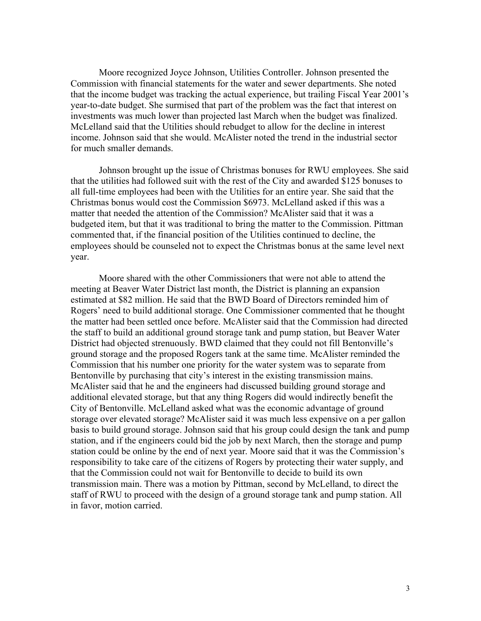Moore recognized Joyce Johnson, Utilities Controller. Johnson presented the Commission with financial statements for the water and sewer departments. She noted that the income budget was tracking the actual experience, but trailing Fiscal Year 2001's year-to-date budget. She surmised that part of the problem was the fact that interest on investments was much lower than projected last March when the budget was finalized. McLelland said that the Utilities should rebudget to allow for the decline in interest income. Johnson said that she would. McAlister noted the trend in the industrial sector for much smaller demands.

Johnson brought up the issue of Christmas bonuses for RWU employees. She said that the utilities had followed suit with the rest of the City and awarded \$125 bonuses to all full-time employees had been with the Utilities for an entire year. She said that the Christmas bonus would cost the Commission \$6973. McLelland asked if this was a matter that needed the attention of the Commission? McAlister said that it was a budgeted item, but that it was traditional to bring the matter to the Commission. Pittman commented that, if the financial position of the Utilities continued to decline, the employees should be counseled not to expect the Christmas bonus at the same level next year.

Moore shared with the other Commissioners that were not able to attend the meeting at Beaver Water District last month, the District is planning an expansion estimated at \$82 million. He said that the BWD Board of Directors reminded him of Rogers' need to build additional storage. One Commissioner commented that he thought the matter had been settled once before. McAlister said that the Commission had directed the staff to build an additional ground storage tank and pump station, but Beaver Water District had objected strenuously. BWD claimed that they could not fill Bentonville's ground storage and the proposed Rogers tank at the same time. McAlister reminded the Commission that his number one priority for the water system was to separate from Bentonville by purchasing that city's interest in the existing transmission mains. McAlister said that he and the engineers had discussed building ground storage and additional elevated storage, but that any thing Rogers did would indirectly benefit the City of Bentonville. McLelland asked what was the economic advantage of ground storage over elevated storage? McAlister said it was much less expensive on a per gallon basis to build ground storage. Johnson said that his group could design the tank and pump station, and if the engineers could bid the job by next March, then the storage and pump station could be online by the end of next year. Moore said that it was the Commission's responsibility to take care of the citizens of Rogers by protecting their water supply, and that the Commission could not wait for Bentonville to decide to build its own transmission main. There was a motion by Pittman, second by McLelland, to direct the staff of RWU to proceed with the design of a ground storage tank and pump station. All in favor, motion carried.